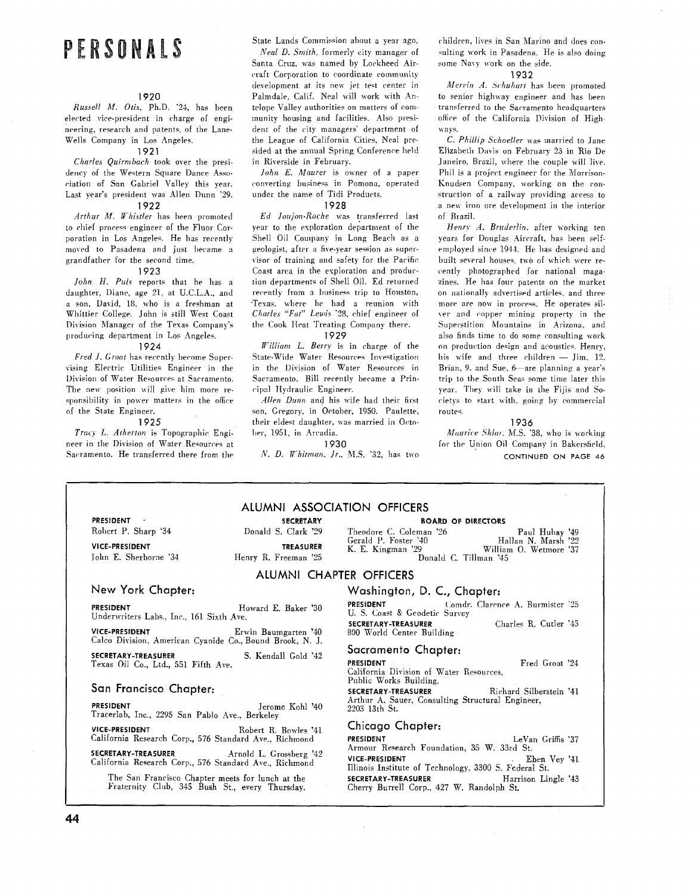# PERSONALS

### **1920**

Russell M. Otis. Ph.D. '24, has been elected vice-president in charge of engineering, research and patents, of the Lane-Wells Company in Los Angele?.

#### **1921**

Charles Quirmbach took over the presidency of the Western Square Dance Association of San Gabriel Valley this year. Last year's president was Alien Dunn '29. **1922** 

 $Arthur$   $M.$  Whistler has been promoted to chief process engineer of the Fluor Corporation in Los Angeles, He has recently moved to Pasadena and just became a grandfather for the second time.

### **1923**

John *H. Puls* reports that he has a daughter. Diane, age 21, at U.C.L.A.. and a son. David, 18, who is a freshman at Whittier College. John is still West Coast Division Manager of the Texas Company's producing department in Los Angeles

### **1924**

Fred *J. Groat* has recently become Supervising Electric Utilities Engineer in the Division of Water Resources at Sacramento. The new position will give him more responsibility in power matters in the office of the State Engineer.

#### **1925**

Tracy L. Atherton is Topographic Engineer in the Division of Water Resources at Sacramento. He transferred there from the

State Lands Commission about a year ago,

A'eal D. *Smith,* formerly city manager of Santa Cruz, was named by Lockheed Aircraft Corporation to coordinate rommunity development at its new jet test center in Palmdale. Calif. Neal will work with Antelope Valley authorities on matters of community housing and facilities. Also president of the city managers' department of the League of California Cities, Neal presided at the annual Spring Conference held in Riverside in February.

 $John E. Maurer$  is owner of a paper converting business in Pomona, operated under the name of Tidi Products.

### **1928**

Ed Joujon-Roche was transferred last year to the exploration department of the Shell Oil Company in Long Beach as a geologist, after a five-year session as supervisor of training and safety for the Pacific Coast area in the exploration and production departments of Shell Oil. Ed returned recently from a business trip to Houston, "Texas. where he had a reunion with Charles "Fat" Lewis '28, chief engineer of the Cook Heat Treating Company there. **1929** 

*tt'illiam* L. Berry is in charge of the State-Wide Water Resources Investigation in the Division of Water Resources in Sacramento. Bill recently became a Principal Hydraulic Engineer.

Allen Dunn and his wife had their first son. Gregory. in October, 1950. Paulette, their eldest daughter. was married in Octo ber, 1951, in Arcadia.

**1930** 

A'. D. Whitman. *Jr..* M.S. "32, has two

**ALUMNI ASSOCIATION OFFICERS** 

children. lives in San Marino and does consulting work in Pasadena. He is also doing some Navy work on the side.

#### **1932**

Mervin A. Schuhart has been promoted to senior highway engineer and has been transferred to the Sacramento headquarters office of the California Division of Highways.

C. Phillip Schoeller was married to Jane Elizabeth Davis on February 23 in Rio De Janeiro. Brazil, where the couple will live. Phil is a project engineer for the Morrison-Knudsen Company, working on the con struction of a railway providing access to a new iron ore development in the interior of Brazil.

Henry A. Bruderlin. after working ten years for Douglas Aircraft, has been selfemployed since 1944. He has designed and built several houses, two of which were recently photographed for national magazines. He has four patents on the market on nationally advertised articles. and three more are now in process. He operates silver and copper mining property in the Superstition Mountains in Arizona, and also finds time to do some consulting work on production design and acoustic<. Henry, his wife and three children  $-$  Jim. 12. Brian, 9, and Sue, 6-are planning a year's trip to the South Seas some time later this year. They will take in the Fijis and Societys to start with, going by commercial routes

### **1936**

Maurice Sklar, M.S. '38, who is working for the Union Oil Company in Bakersfield, **CONTINUED ON PAGE 46** 

| <b>PRESIDENT</b>      |  |
|-----------------------|--|
| Robert P. Sharp '34   |  |
| <b>VICE-PRESIDENT</b> |  |

**PRESIDENT** . **SECRETARY**  Donald S. Clark '29 **TREASURER** John E. Sherborne '34 Henry R. Freeman '25 **BOARD OF DIRECTORS** 

Theodore C. Coleman '26 Paul Hubay '49 Gerald P. Foster '40 Hallan N. Marsh '22 K. E. Kingman '29 William 0. Wetmore '37 29 William O. Wetmore '37<br>Donald C. Tillman '45

### **ALUMNI CHAPTER OFFICERS**

**New York Chapter:** 

### **PRESIDENT Howard E. Baker '30** Underwriters Labs., Inc., 161 Sixth Ave.

**VICE-PRESIDENT** Erwin Baumgarten '40 Calco Division. American Cyanide Co., Bound Brook, N. J.

**SECRETARY-TREASURER** S. Kendall Gold '42 Texas Oil Co., Ltd., 551 Fifth Ave.

### **San Francisco Chapter:**

**PRESIDENT** Jerome Kohl **'40**  Tracerlab, Inc., 2295 San Pablo Ave.. Berkeley

**VICE-PRESIDENT** Robert R. Bowles '41 California Research Corp., 576 Standard Are.. Richmond

**SECRETARY-TREASURER** Arnold L. Grossberg '42 California Research Corp., 576 Standard Ave., Richmond

The San Francisco Chapter meets for lunch at the Fraternity Club, 345 Bush St., every Thursday.

### **Washington,** D. **C., Chapter:**

**PRESIDENT Comdr. Clarence A. Burmister '25** U. S. Coast & Geodetic Survey<br>SECRETARY-TREASURER **SECRETARY-TREASURER** Charles R. Cutler **'43**  800 World Center Building

**Sacramento Chapter:** 

**PRESIDENT Fred Groat '24** California Division of Water Resources, Public Works Building.

**SECRETARY-TREASURER** Richard Silberstein '41 Arthur A. Sauer, Consulting Structural Engineer, 2203 13th St.

### **Chicago Chapter:**

| PRESIDENT                                             | LeVan Griffis '37   |
|-------------------------------------------------------|---------------------|
| Armour Research Foundation, 35 W. 33rd St.            |                     |
| VICE-PRESIDENT                                        | Eben Vev '41        |
| Illinois Institute of Technology, 3300 S. Federal St. |                     |
| SECRETARY-TREASURER                                   | Harrison Lingle '43 |
| Cherry Burrell Corp., 427 W. Randolph St.             |                     |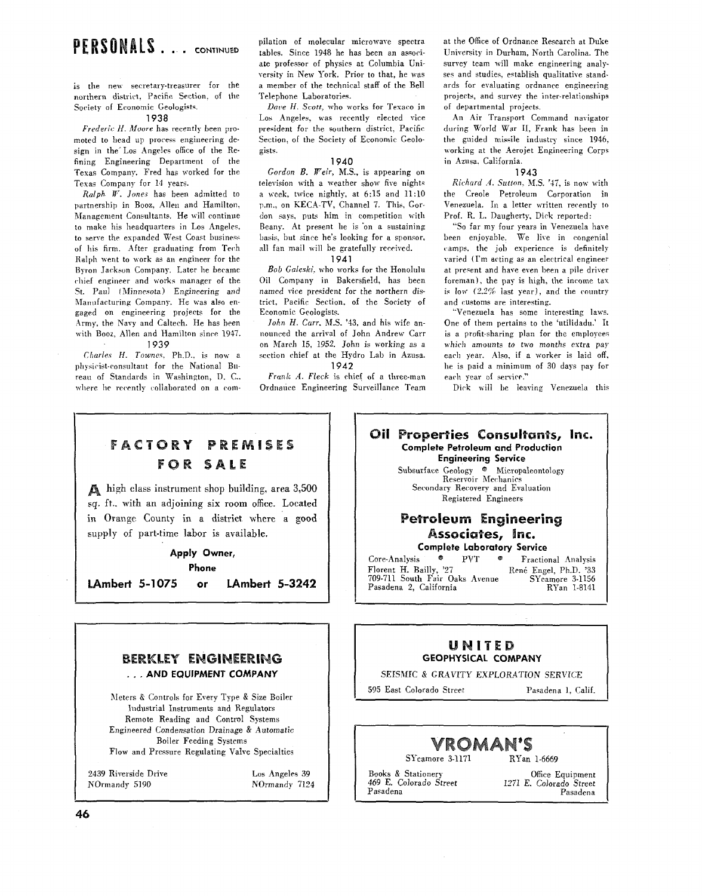## PERSONALS.... CONTINUED

is the new secretary-treasurer for the northern district. Pacific Section, of the Society of Economic Geologists.

### 1938

Frederic *H.* Moore has recently been promoted to head up process engineering design in the Los Angeles office of the Refining Engineering Department of the Texas Company. Fred has worked for the Texas' Company for 14 years.

Ralph W. Jones has been admitted to partnership in Booz, Allen and Hamilton. Management Consultants. He will continue to make his headquarters in Los Angeles, to serve the expanded West Coast business of his firm. After graduating from Tech Ralph went to work as an engineer for the Byron Jackson Company. Later he became chief engineer and works manager of the *St.* Pan1 (Minnesota) Engineering and Manufacturing Company. He was also engaged on engineering projects for the Army, the Navy and Caltech. He has been vith Booz. Allen and Hamilton since 1947. 1939

Charles *H. Townes*, Ph.D., is now a physicist-consultant for the National Bureau of Standards in Washington, D. C.. where he recently collaborated on a compilation of molecular microwave spectra tables. Since 1948 he has been an associate professor of physics at Columbia University in New York. Prior to that, he was a member of the technical staff of the Bell Telephone Laboratories

Dare H. *Scott.* who works for Texaco in Los Angeles, was recently elected vice president for the southern district. Pacific Section, of the Society of Economic Geologists.

### 1940

Gordon B. *Weir,* MS., is appearing on television with a weather show five nights a week, twice nightly, at  $6:15$  and  $11:10$ p.m., on KECA-TV, Channel 7. This, Gordon says, puts him in competition with Beany. At present he is on a sustaining basis. but since he's looking for a sponsor, all fan mail will he gratefully rereived.

1941

Bob Galeski. who works for the Honolulu Oil Company in Bakersfield, has been named vice president for the northern district, Pacific Section, of the Society of Economic Geologists.

John H. Carr. M.S. '43, and his wife announced the arrival of John Andrew Carr on March 15. 1952. John is working as a section chief at the Hydro Lab in Azusa. 1942

Frank A. Fleck is chief of a three-man Ordnance Engineering Surveillance Team at the Office of Ordnance Research at Duke University in Durham. North Carolina. The survey team will make engineering analyses and studies, establish qualitative standards for evaluating ordnance engineering projects, and survey the inter-relationships of departmental projects.

An Air Transport Command navigator during World War **11.** Frank has been in the guided missile industry since 1946, working at the Aerojet Engineering Corps in Azusa. California.

### 1943

Richard *A. Sutton*, M.S. '47, is now with the Creole Petroleum Corporation in Venezuela. In a letter written recently to Prof. R. L. Daugherty, Dick reported:

"So far my four years in Venezuela have been enjoyable. We live in congenial camps, the job experience is definitely varied (I'm acting as an electrical engineer at present and have even been a pile driver foreman), the pay is high, the income tax is low *(2.2%* last year), and the country and customs are interesting.

"Venezuela has some interesting laws. One of them pertains to the 'utilidadu.' It is a profit-sharing plan for the employees which amounts to two months extra pay each year. Also. if a worker is laid off, he is paid a minimum of 30 days pay for each year of service."

Dick will be leaving Venezuela this.

**FACTORY PREMISES FOR SALE** 

high class instrument shop building, area 3,500 sq. ft.. with an adjoining six room office. Located in Orange County in a district where a good supply of part-time labor is available.

### **Apply Owner,**

**Phone** 

**LAmbert 5-1075 or LAmbert 5-3242** 

### Oil Properties Consultants, Inc. **Complete Petroleum and Production Engineering Service**  Subsurface Geology @ Micropaleontology

Reservoir Mechanics Secondary Recovery and Evaluation Registered Engineers

### **Petroleum Engineering** Associates, Inc.

**Complete Laboratory Service**  Core-Analysis <sup>C</sup> PVT <sup>C</sup> Fractional Analysis<br>
Florent H. Bailly, '27<br>
René Engel, Ph.D. '33 René Engel, Ph.D. '33<br>SYcamore 3-1156<br>RYan 1-8141 709-711 South Fair Oaks Avenue Pasadena 2, California

### **UNITED GEOPHYSICAL COMPANY**

SEISMIC & GRAVITY EXPLORATION SERVICE

595 East Colorado Street Pasadena 1, Calif.

### VROMAN'S

SYcamore 3-1171 RYan 1-6669

Books & Stationery Office Equipment<br>
469 E. Colorado Street 1271 E. Colorado Street 469 **E.** Colorado Street 1271 *E.* Colorado Street Pasadena

# **BERKLEY ENGINEERING**<br>... AND EQUIPMENT COMPANY

Meters & Controls for Every Type & Size Boiler industrial Instruments and Regulators Remote Reading and Control Systems Engineered Condensation Drainage & Automatic Boiler Feeding Systems Flow and Pressure Regulating Valve Specialties

2439 Riverside Drive Normandy 5190

Los Angeles 39 Normandy 7124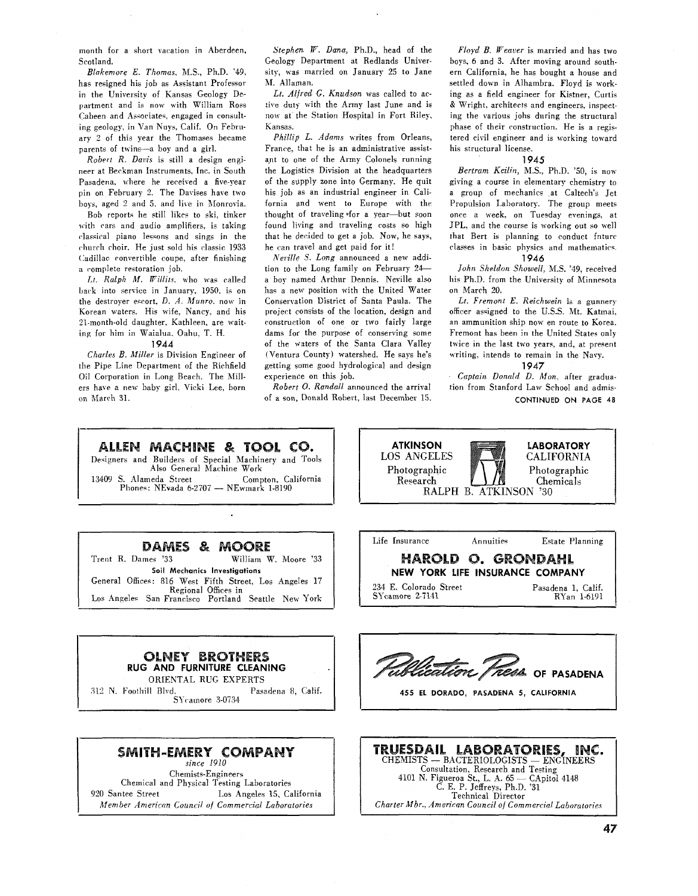month for a short vacation in Aberdeen, Scotland.

Blakemore E. Thomas, M.S., Ph.D. '49, has resigned his job as Assistant Professor in the University of Kansas Geology Department and is now with William Ross Cabeen and Associates, engaged in consulting geology, in Van Nuys, Calif. On February 2 of this year the Thomases became parents of twins-a boy and a girl.

Robert R. Davis is still a design engineer at Beckman Instruments. Inc. in South Pasadena, where he received a five-year pin on February 2. The Davises have two hoys, aged 2 and 5, and live in Monrovia.

Bob reports he still likes to ski, tinker with cars and audio amplifiers. is taking classical piano lessons and sings in the church choir. He just sold his classic 1933 Gadillac convertible coupe, after finishing a complete restoration job.

**Ll.** Ralph *M.* Willits. who was called bark into service in January. 1950. is on the destroyer ewort. D. *A.* Munro. now in Korean waters. His wife, Nancy. and his 21-month-old daughter, Kathleen. are waiting for him in Waialua. Oahu, T. H.

### **1944**

Charles B. Miller is Division Engineer of the Pipe Line Department of the Richfield Oil Corporation in Long Beach. The Millers have a new baby girl, Vicki Lee, born on March 31.

Stephen **IF.** Dana, Ph.D., head of the Geology Department at Redlands University, was married on January 25 to Jane M. Allaman.

Lt. Alfred G. Knudson was called to active duty with the Army last June and is now at the Station Hospital in Fort Riley, Kansas.

Phillip L. Adams writes from Orleans, France, that he is an administrative assistant to one of the Army Colonels running the Logistics Division at the headquarters of the supply zone into Germany. He quit his job as an industrial engineer in Califorma and went to Europe with the thought of traveling \*for a year-but soon found living and traveling costs so high that he decided to get a job. Now, he says, he can travel and get paid for it!

Neville S. Long announced a new addition to the Long family on February 24a boy named Arthur Dennis. Neville also has a new position with the United Water Consenation District of Santa Paula. The project consists of the location, design and construction of one or two fairly large dams for the purpose of conserving some of the waters of the Santa Clara Valley (Ventura County) watershed. He says he's getting some good hydrological and design experience on this job.

 $Robert$  O. Randall announced the arrival of a son, Donald Robert, last December 15.

Floyd *B.* Weaver is married and has two boys, 6 and 3. After moving around southern California, he has bought a house and settled down in Alhambra. Floyd is working as a field engineer for Kistner, Curtis & Wright. architect5 and engineers, inspecting the various jobs during the structural phase of their construction. He is a registered civil engineer and is working toward his structural license;

### **1945**

Bertram Keilin, M.S., Ph.D. '50, is now giving a course in elementary chemistry to a group of mechanics at Caltech's Jet Propulsion Laboratory. The group meets once a neek. on Tuesday evenings, at JPL, and the course is working out so well that Bert is planning to conduct fnture classes in basic physics and mathematics. **1946** 

John Sheldon Showell. M.S. "49, received his Ph.D. from the University of Minnesota on March 20.

Lt. Fremont E. Reichwein is a gunnery officer assigned to the U.S.S. Mt. Katmai. an ammunition ship now en route to Korea. Fremont has been in the United States only twice in the last two years, and, at present writing, intends to remain in the Navy.

**1947** 

Captain Donald D. Mon. after graduation from Stanford Law School and admis-CONTINUED ON PAGE 48

ALLEN MACHINE & TOOL CO.

Designers and Builders of Special Machinery and Tools Also General Machine Work 13409 S. Alameda Street  $P$ hones: NEvada 6-2707 - NEwmark 1-8190



## **DAMES & MOORE**<br>Trent R. Dames '33 William W

William W. Moore '33 **Soil Mechanics Investigations**  General Offices: 816 West Fifth Street, Los Angeles 17 Regional Offices in Los Anpeles San Francisco Portland Seattle New York

**RUG AND FURNITURE CLEANING**  ORIENTAL RUG EXPERTS .112 **N.** Foothill Bl~d. Pasadena 8, Calif. SYcamore 3-0734

**OLNEY BROTHERS** 

Life Insurance Annuities Estate Planning<br> **HAROLD O. GRONDAHL NEW YORK LIFE INSURANCE COMPANY**  234 E. Colorado Street Pasadena 1, Calif. SYcamore 2-7141

*Elication Tress* OF PASADENA

I **455 EL DORADO, PASADENA 5, CALIFORNIA** 



Chemical and Physical Testing Laboratories<br>920 Santee Street Los Angeles 15, Ca Los Angeles 15, California Member Anieriian Council **of** Commercial Laboratories

Consultation, Research and Testing MISTS — BACTERIOLOGISTS — ENGINEM<br>
Consultation, Research and Testing<br>
4101 N. Figueroa St., L. A. 65 — CApitol 4148<br>
C. E. P. Jeffreys, Ph.D. '31 Technical Director Charter Mbr., American Council of Commercial Laboratories